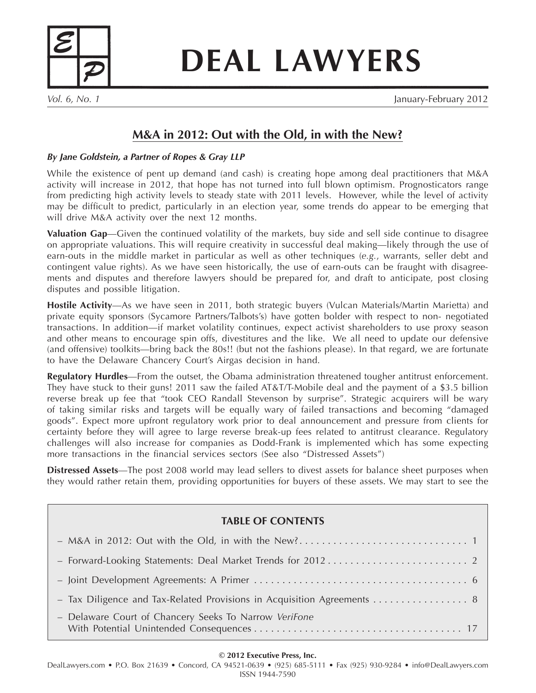

**DEAL LAWYERS**

*Vol. 6, No. 1* January-February 2012

# **M&A in 2012: Out with the Old, in with the New?**

### *By Jane Goldstein, a Partner of Ropes & Gray LLP*

While the existence of pent up demand (and cash) is creating hope among deal practitioners that M&A activity will increase in 2012, that hope has not turned into full blown optimism. Prognosticators range from predicting high activity levels to steady state with 2011 levels. However, while the level of activity may be difficult to predict, particularly in an election year, some trends do appear to be emerging that will drive M&A activity over the next 12 months.

**Valuation Gap**—Given the continued volatility of the markets, buy side and sell side continue to disagree on appropriate valuations. This will require creativity in successful deal making—likely through the use of earn-outs in the middle market in particular as well as other techniques (*e.g.*, warrants, seller debt and contingent value rights). As we have seen historically, the use of earn-outs can be fraught with disagreements and disputes and therefore lawyers should be prepared for, and draft to anticipate, post closing disputes and possible litigation.

**Hostile Activity**—As we have seen in 2011, both strategic buyers (Vulcan Materials/Martin Marietta) and private equity sponsors (Sycamore Partners/Talbots's) have gotten bolder with respect to non- negotiated transactions. In addition—if market volatility continues, expect activist shareholders to use proxy season and other means to encourage spin offs, divestitures and the like. We all need to update our defensive (and offensive) toolkits—bring back the 80s!! (but not the fashions please). In that regard, we are fortunate to have the Delaware Chancery Court's Airgas decision in hand.

**Regulatory Hurdles**—From the outset, the Obama administration threatened tougher antitrust enforcement. They have stuck to their guns! 2011 saw the failed AT&T/T-Mobile deal and the payment of a \$3.5 billion reverse break up fee that "took CEO Randall Stevenson by surprise". Strategic acquirers will be wary of taking similar risks and targets will be equally wary of failed transactions and becoming "damaged goods". Expect more upfront regulatory work prior to deal announcement and pressure from clients for certainty before they will agree to large reverse break-up fees related to antitrust clearance. Regulatory challenges will also increase for companies as Dodd-Frank is implemented which has some expecting more transactions in the financial services sectors (See also "Distressed Assets")

**Distressed Assets**—The post 2008 world may lead sellers to divest assets for balance sheet purposes when they would rather retain them, providing opportunities for buyers of these assets. We may start to see the

## **TABLE OF CONTENTS**

| - Tax Diligence and Tax-Related Provisions in Acquisition Agreements  8 |  |
|-------------------------------------------------------------------------|--|
| - Delaware Court of Chancery Seeks To Narrow VeriFone                   |  |

#### **© 2012 Executive Press, Inc.**